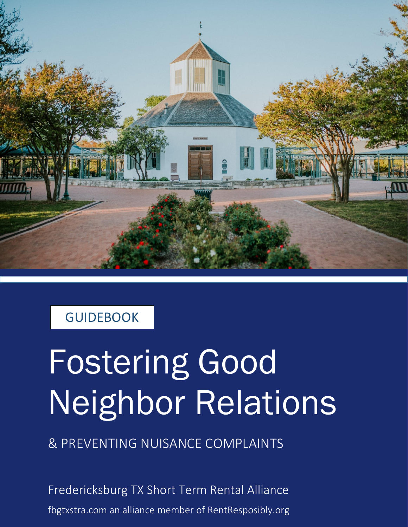

#### **GUIDEBOOK**

# Fostering Good Neighbor Relations

& PREVENTING NUISANCE COMPLAINTS

Fredericksburg TX Short Term Rental Alliance fbgtxstra.com an alliance member of RentResposibly.org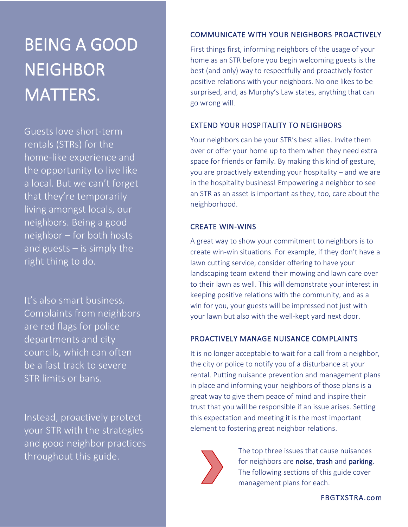## BEING A GOOD **NEIGHBOR** MATTERS.

Guests love short-term rentals (STRs) for the home-like experience and the opportunity to live like a local. But we can't forget that they're temporarily living amongst locals, our neighbors. Being a good neighbor – for both hosts and guests – is simply the right thing to do.

It's also smart business. Complaints from neighbors are red flags for police departments and city councils, which can often be a fast track to severe STR limits or bans.

Instead, proactively protect your STR with the strategies and good neighbor practices throughout this guide.

#### COMMUNICATE WITH YOUR NEIGHBORS PROACTIVELY

First things first, informing neighbors of the usage of your home as an STR before you begin welcoming guests is the best (and only) way to respectfully and proactively foster positive relations with your neighbors. No one likes to be surprised, and, as Murphy's Law states, anything that can go wrong will.

#### EXTEND YOUR HOSPITALITY TO NEIGHBORS

Your neighbors can be your STR's best allies. Invite them over or offer your home up to them when they need extra space for friends or family. By making this kind of gesture, you are proactively extending your hospitality – and we are in the hospitality business! Empowering a neighbor to see an STR as an asset is important as they, too, care about the neighborhood.

#### CREATE WIN-WINS

A great way to show your commitment to neighbors is to create win-win situations. For example, if they don't have a lawn cutting service, consider offering to have your landscaping team extend their mowing and lawn care over to their lawn as well. This will demonstrate your interest in keeping positive relations with the community, and as a win for you, your guests will be impressed not just with your lawn but also with the well-kept yard next door.

#### PROACTIVELY MANAGE NUISANCE COMPLAINTS

It is no longer acceptable to wait for a call from a neighbor, the city or police to notify you of a disturbance at your rental. Putting nuisance prevention and management plans in place and informing your neighbors of those plans is a great way to give them peace of mind and inspire their trust that you will be responsible if an issue arises. Setting this expectation and meeting it is the most important element to fostering great neighbor relations.



The top three issues that cause nuisances for neighbors are noise, trash and parking. The following sections of this guide cover management plans for each.

FBGTXSTRA.com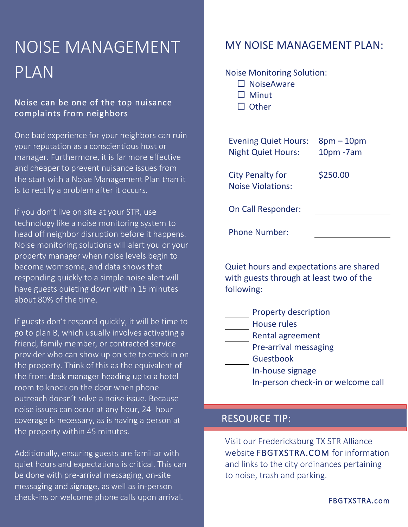### NOISE MANAGEMENT PLAN

#### Noise can be one of the top nuisance complaints from neighbors

One bad experience for your neighbors can ruin your reputation as a conscientious host or manager. Furthermore, it is far more effective and cheaper to prevent nuisance issues from the start with a Noise Management Plan than it is to rectify a problem after it occurs.

If you don't live on site at your STR, use technology like a noise monitoring system to head off neighbor disruption before it happens. Noise monitoring solutions will alert you or your property manager when noise levels begin to become worrisome, and data shows that responding quickly to a simple noise alert will have guests quieting down within 15 minutes about 80% of the time.

If guests don't respond quickly, it will be time to go to plan B, which usually involves activating a friend, family member, or contracted service provider who can show up on site to check in on the property. Think of this as the equivalent of the front desk manager heading up to a hotel room to knock on the door when phone outreach doesn't solve a noise issue. Because noise issues can occur at any hour, 24- hour coverage is necessary, as is having a person at the property within 45 minutes.

Additionally, ensuring guests are familiar with quiet hours and expectations is critical. This can be done with pre-arrival messaging, on-site messaging and signage, as well as in-person check-ins or welcome phone calls upon arrival.

#### MY NOISE MANAGEMENT PLAN:

#### Noise Monitoring Solution:

- $\square$  NoiseAware
- $\Box$  Minut
- $\Box$  Other

| <b>Evening Quiet Hours:</b><br><b>Night Quiet Hours:</b> | $8$ pm – 10pm<br>$10pm$ -7am |
|----------------------------------------------------------|------------------------------|
| <b>City Penalty for</b><br><b>Noise Violations:</b>      | \$250.00                     |
| On Call Responder:                                       |                              |
| <b>Phone Number:</b>                                     |                              |

Quiet hours and expectations are shared with guests through at least two of the following:

- Property description House rules Rental agreement **Pre-arrival messaging**
- Guestbook
	- In-house signage
	- In-person check-in or welcome call

#### RESOURCE TIP:

i

Visit our Fredericksburg TX STR Alliance website FBGTXSTRA.COM for information and links to the city ordinances pertaining to noise, trash and parking.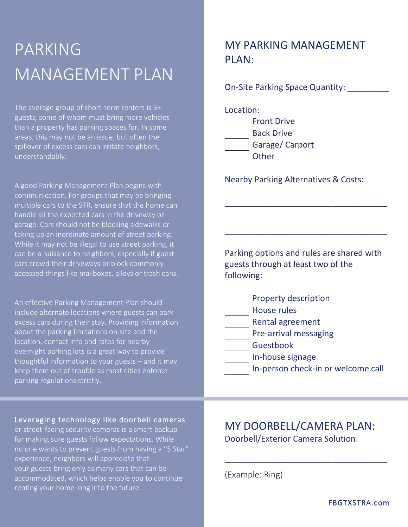### PARKING MANAGEMENT PLAN

The average group of short-term renters is 3+ guests, some of whom must bring more vehicles than a property has parking spaces for. In some areas, this may not be an issue, but often the spillover of excess cars can irritate neighbors, understandably.

A good Parking Management Plan begins with communication. For groups that may be bringing multiple cars to the STR, ensure that the home can handle all the expected cars in the driveway or garage. Cars should not be blocking sidewalks or taking up an inordinate amount of street parking. While it may not be illegal to use street parking, it can be a nuisance to neighbors, especially if guest cars crowd their driveways or block commonly accessed things like mailboxes, alleys or trash cans.

An effective Parking Management Plan should include alternate locations where guests can park excess cars during their stay. Providing information about the parking limitations on-site and the location, contact info and rates for nearby overnight parking lots is a great way to provide thoughtful information to your guests – and it may keep them out of trouble as most cities enforce parking regulations strictly.

#### MY PARKING MANAGEMENT PLAN:

On-Site Parking Space Quantity: \_\_\_\_\_\_\_\_\_

Location: Front Drive Back Drive Garage/ Carport **Other** 

Nearby Parking Alternatives & Costs:

Parking options and rules are shared with guests through at least two of the following:

\_\_\_\_\_\_\_\_\_\_\_\_\_\_\_\_\_\_\_\_\_\_\_\_\_\_\_\_\_\_\_\_\_\_\_

\_\_\_\_\_\_\_\_\_\_\_\_\_\_\_\_\_\_\_\_\_\_\_\_\_\_\_\_\_\_\_\_\_\_\_

- Property description
- House rules
- Rental agreement
- **Pre-arrival messaging** 
	- Guestbook
		- In-house signage
	- In-person check-in or welcome call

#### Leveraging technology like doorbell cameras

or street-facing security cameras is a smart backup for making sure guests follow expectations. While no one wants to prevent guests from having a "5 Star" experience, neighbors will appreciate that your guests bring only as many cars that can be accommodated, which helps enable you to continue renting your home long into the future.

MY DOORBELL/CAMERA PLAN: Doorbell/Exterior Camera Solution:

\_\_\_\_\_\_\_\_\_\_\_\_\_\_\_\_\_\_\_\_\_\_\_\_\_\_\_\_\_\_\_\_\_\_\_

(Example: Ring)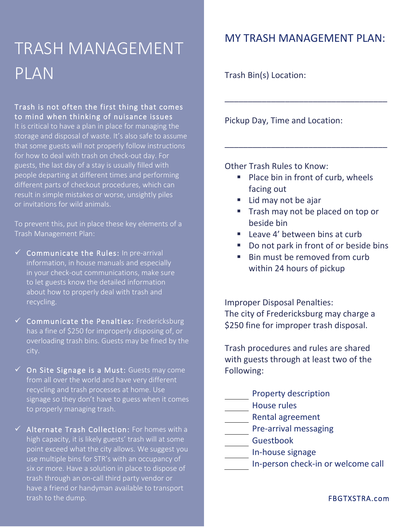### TRASH MANAGEMENT PLAN

#### Trash is not often the first thing that comes to mind when thinking of nuisance issues

It is critical to have a plan in place for managing the storage and disposal of waste. It's also safe to assume that some guests will not properly follow instructions for how to deal with trash on check-out day. For guests, the last day of a stay is usually filled with people departing at different times and performing different parts of checkout procedures, which can result in simple mistakes or worse, unsightly piles or invitations for wild animals.

To prevent this, put in place these key elements of a Trash Management Plan:

- $\checkmark$  Communicate the Rules: In pre-arrival information, in house manuals and especially in your check-out communications, make sure to let guests know the detailed information about how to properly deal with trash and recycling.
- $\checkmark$  Communicate the Penalties: Fredericksburg has a fine of \$250 for improperly disposing of, or overloading trash bins. Guests may be fined by the city.
- $\checkmark$  On Site Signage is a Must: Guests may come from all over the world and have very different recycling and trash processes at home. Use signage so they don't have to guess when it comes to properly managing trash.
- ✓ Alternate Trash Collection: For homes with a high capacity, it is likely guests' trash will at some point exceed what the city allows. We suggest you use multiple bins for STR's with an occupancy of six or more. Have a solution in place to dispose of trash through an on-call third party vendor or have a friend or handyman available to transport trash to the dump.

#### MY TRASH MANAGEMENT PLAN:

\_\_\_\_\_\_\_\_\_\_\_\_\_\_\_\_\_\_\_\_\_\_\_\_\_\_\_\_\_\_\_\_\_\_\_

Trash Bin(s) Location:

Pickup Day, Time and Location:

Other Trash Rules to Know:

■ Place bin in front of curb, wheels facing out

\_\_\_\_\_\_\_\_\_\_\_\_\_\_\_\_\_\_\_\_\_\_\_\_\_\_\_\_\_\_\_\_\_\_\_

- Lid may not be ajar
- Trash may not be placed on top or beside bin
- Leave 4' between bins at curb
- Do not park in front of or beside bins
- Bin must be removed from curb within 24 hours of pickup

Improper Disposal Penalties: The city of Fredericksburg may charge a \$250 fine for improper trash disposal.

Trash procedures and rules are shared with guests through at least two of the Following:

- Property description House rules Rental agreement Pre-arrival messaging Guestbook
- In-house signage
- In-person check-in or welcome call

FBGTXSTRA.com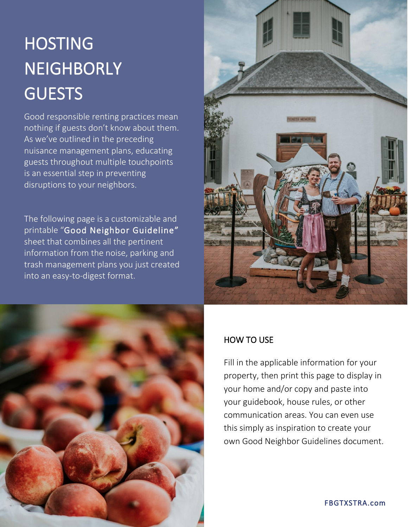# **HOSTING NEIGHBORLY GUESTS**

Good responsible renting practices mean nothing if guests don't know about them. As we've outlined in the preceding nuisance management plans, educating guests throughout multiple touchpoints is an essential step in preventing disruptions to your neighbors.

The following page is a customizable and printable "Good Neighbor Guideline" sheet that combines all the pertinent information from the noise, parking and trash management plans you just created into an easy-to-digest format.





#### HOW TO USE

Fill in the applicable information for your property, then print this page to display in your home and/or copy and paste into your guidebook, house rules, or other communication areas. You can even use this simply as inspiration to create your own Good Neighbor Guidelines document.

FBGTXSTRA.com